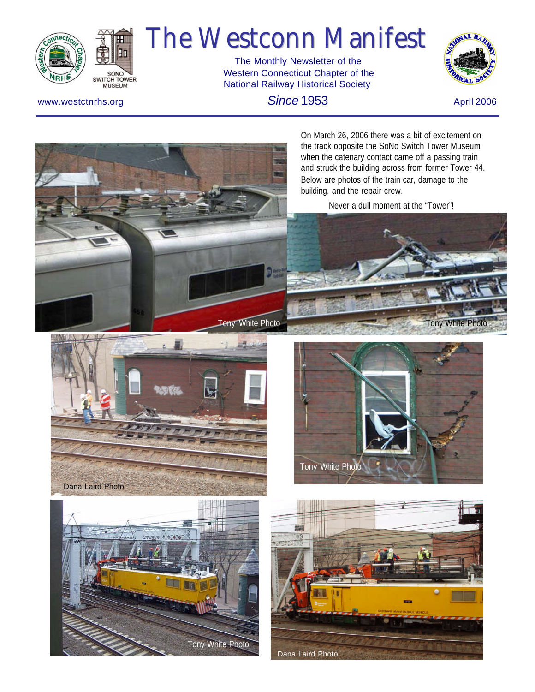

# The Westconn Manifest

 The Monthly Newsletter of the Western Connecticut Chapter of the National Railway Historical Society



*Since* **1953 April 2006 April 2006 April 2006** 

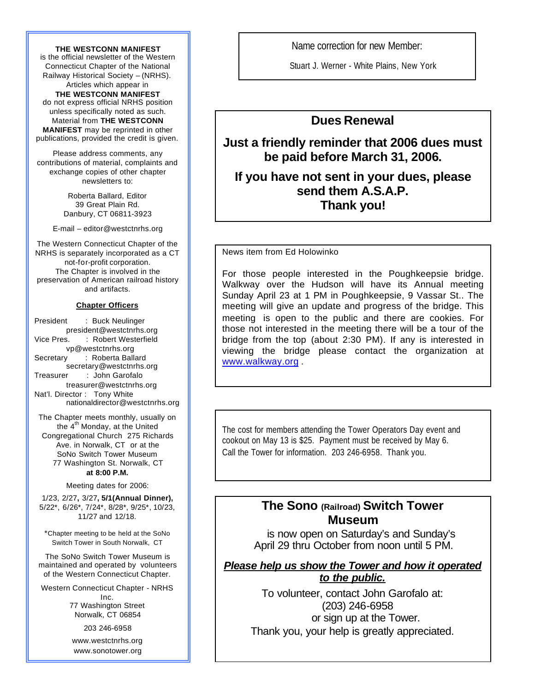**THE WESTCONN MANIFEST** is the official newsletter of the Western Connecticut Chapter of the National Railway Historical Society – (NRHS). Articles which appear in **THE WESTCONN MANIFEST**  do not express official NRHS position unless specifically noted as such.

Material from **THE WESTCONN MANIFEST** may be reprinted in other publications, provided the credit is given.

Please address comments, any contributions of material, complaints and exchange copies of other chapter newsletters to:

> Roberta Ballard, Editor 39 Great Plain Rd. Danbury, CT 06811-3923

E-mail – editor@westctnrhs.org

The Western Connecticut Chapter of the NRHS is separately incorporated as a CT not-for-profit corporation. The Chapter is involved in the preservation of American railroad history and artifacts.

#### **Chapter Officers**

President : Buck Neulinger president@westctnrhs.org Vice Pres. : Robert Westerfield vp@westctnrhs.org Secretary : Roberta Ballard secretary@westctnrhs.org Treasurer : John Garofalo treasurer@westctnrhs.org Nat'l. Director : Tony White nationaldirector@westctnrhs.org

The Chapter meets monthly, usually on the  $4<sup>th</sup>$  Monday, at the United Congregational Church 275 Richards Ave. in Norwalk, CT or at the SoNo Switch Tower Museum 77 Washington St. Norwalk, CT

#### **at 8:00 P.M.**

Meeting dates for 2006:

1/23, 2/27**,** 3/27**, 5/1(Annual Dinner),** 5/22\*, 6/26\*, 7/24\*, 8/28\*, 9/25\*, 10/23, 11/27 and 12/18.

\*Chapter meeting to be held at the SoNo Switch Tower in South Norwalk, CT

The SoNo Switch Tower Museum is maintained and operated by volunteers of the Western Connecticut Chapter.

Western Connecticut Chapter - NRHS Inc. 77 Washington Street Norwalk, CT 06854

203 246-6958

[www.westctnrhs.or](www.westctnrhs.org)g [www.sonotower.or](www.sonotower.org)g Name correction for new Member:

Stuart J. Werner - White Plains, New York

## **Dues Renewal**

#### **Just a friendly reminder that 2006 dues must be paid before March 31, 2006.**

**If you have not sent in your dues, please send them A.S.A.P. Thank you!**

News item from Ed Holowinko

For those people interested in the Poughkeepsie bridge. Walkway over the Hudson will have its Annual meeting Sunday April 23 at 1 PM in Poughkeepsie, 9 Vassar St.. The meeting will give an update and progress of the bridge. This meeting is open to the public and there are cookies. For those not interested in the meeting there will be a tour of the bridge from the top (about 2:30 PM). If any is interested in viewing the bridge please contact the organization at <www.walkway.org> .

The cost for members attending the Tower Operators Day event and cookout on May 13 is \$25. Payment must be received by May 6. Call the Tower for information. 203 246-6958. Thank you.

#### **The Sono (Railroad) Switch Tower Museum**

 is now open on Saturday's and Sunday's April 29 thru October from noon until 5 PM.

#### *Please help us show the Tower and how it operated to the public.*

To volunteer, contact John Garofalo at: (203) 246-6958 or sign up at the Tower. Thank you, your help is greatly appreciated.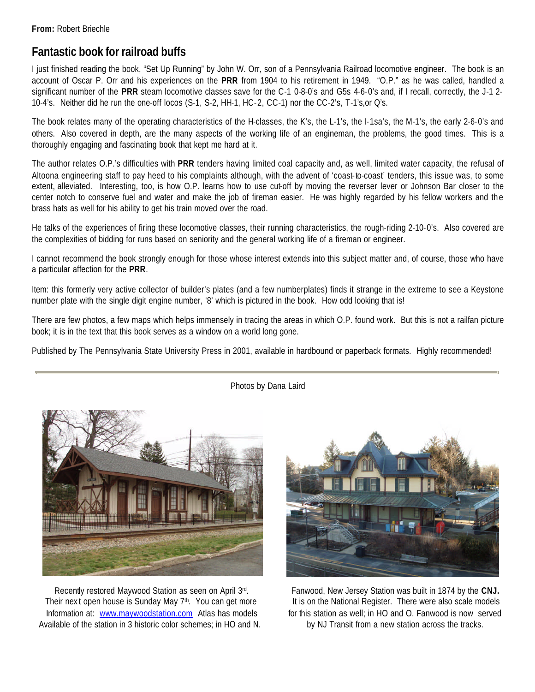# **Fantastic book for railroad buffs**

I just finished reading the book, "Set Up Running" by John W. Orr, son of a Pennsylvania Railroad locomotive engineer. The book is an account of Oscar P. Orr and his experiences on the **PRR** from 1904 to his retirement in 1949. "O.P." as he was called, handled a significant number of the **PRR** steam locomotive classes save for the C-1 0-8-0's and G5s 4-6-0's and, if I recall, correctly, the J-1 2- 10-4's. Neither did he run the one-off locos (S-1, S-2, HH-1, HC-2, CC-1) nor the CC-2's, T-1's,or Q's.

The book relates many of the operating characteristics of the H-classes, the K's, the L-1's, the I-1sa's, the M-1's, the early 2-6-0's and others. Also covered in depth, are the many aspects of the working life of an engineman, the problems, the good times. This is a thoroughly engaging and fascinating book that kept me hard at it.

The author relates O.P.'s difficulties with **PRR** tenders having limited coal capacity and, as well, limited water capacity, the refusal of Altoona engineering staff to pay heed to his complaints although, with the advent of 'coast-to-coast' tenders, this issue was, to some extent, alleviated. Interesting, too, is how O.P. learns how to use cut-off by moving the reverser lever or Johnson Bar closer to the center notch to conserve fuel and water and make the job of fireman easier. He was highly regarded by his fellow workers and the brass hats as well for his ability to get his train moved over the road.

He talks of the experiences of firing these locomotive classes, their running characteristics, the rough-riding 2-10-0's. Also covered are the complexities of bidding for runs based on seniority and the general working life of a fireman or engineer.

I cannot recommend the book strongly enough for those whose interest extends into this subject matter and, of course, those who have a particular affection for the **PRR**.

Item: this formerly very active collector of builder's plates (and a few numberplates) finds it strange in the extreme to see a Keystone number plate with the single digit engine number, '8' which is pictured in the book. How odd looking that is!

There are few photos, a few maps which helps immensely in tracing the areas in which O.P. found work. But this is not a railfan picture book; it is in the text that this book serves as a window on a world long gone.

Published by The Pennsylvania State University Press in 2001, available in hardbound or paperback formats. Highly recommended!



Recently restored Maywood Station as seen on April 3rd Their next open house is Sunday May 7<sup>th</sup>. You can get more It is on the National Register. There were also scale models Information at: [www.maywoodstation.co](www.maywoodstation.com)m Atlas has models for this station as well; in HO and O. Fanwood is now served Available of the station in 3 historic color schemes; in HO and N. by NJ Transit from a new station across the tracks.



. Fanwood, New Jersey Station was built in 1874 by the **CNJ.**

Photos by Dana Laird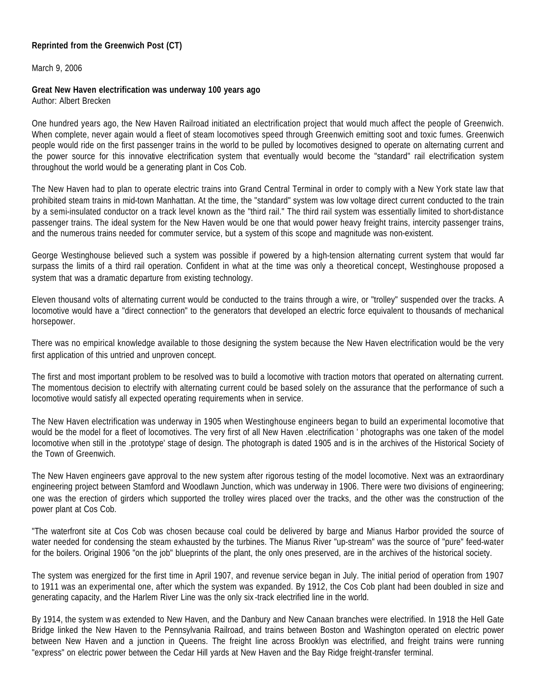**Reprinted from the Greenwich Post (CT)**

March 9, 2006

**Great New Haven electrification was underway 100 years ago** Author: Albert Brecken

One hundred years ago, the New Haven Railroad initiated an electrification project that would much affect the people of Greenwich. When complete, never again would a fleet of steam locomotives speed through Greenwich emitting soot and toxic fumes. Greenwich people would ride on the first passenger trains in the world to be pulled by locomotives designed to operate on alternating current and the power source for this innovative electrification system that eventually would become the "standard" rail electrification system throughout the world would be a generating plant in Cos Cob.

The New Haven had to plan to operate electric trains into Grand Central Terminal in order to comply with a New York state law that prohibited steam trains in mid-town Manhattan. At the time, the "standard" system was low voltage direct current conducted to the train by a semi-insulated conductor on a track level known as the "third rail." The third rail system was essentially limited to short-distance passenger trains. The ideal system for the New Haven would be one that would power heavy freight trains, intercity passenger trains, and the numerous trains needed for commuter service, but a system of this scope and magnitude was non-existent.

George Westinghouse believed such a system was possible if powered by a high-tension alternating current system that would far surpass the limits of a third rail operation. Confident in what at the time was only a theoretical concept, Westinghouse proposed a system that was a dramatic departure from existing technology.

Eleven thousand volts of alternating current would be conducted to the trains through a wire, or "trolley" suspended over the tracks. A locomotive would have a "direct connection" to the generators that developed an electric force equivalent to thousands of mechanical horsepower.

There was no empirical knowledge available to those designing the system because the New Haven electrification would be the very first application of this untried and unproven concept.

The first and most important problem to be resolved was to build a locomotive with traction motors that operated on alternating current. The momentous decision to electrify with alternating current could be based solely on the assurance that the performance of such a locomotive would satisfy all expected operating requirements when in service.

The New Haven electrification was underway in 1905 when Westinghouse engineers began to build an experimental locomotive that would be the model for a fleet of locomotives. The very first of all New Haven .electrification ' photographs was one taken of the model locomotive when still in the .prototype' stage of design. The photograph is dated 1905 and is in the archives of the Historical Society of the Town of Greenwich.

The New Haven engineers gave approval to the new system after rigorous testing of the model locomotive. Next was an extraordinary engineering project between Stamford and Woodlawn Junction, which was underway in 1906. There were two divisions of engineering; one was the erection of girders which supported the trolley wires placed over the tracks, and the other was the construction of the power plant at Cos Cob.

"The waterfront site at Cos Cob was chosen because coal could be delivered by barge and Mianus Harbor provided the source of water needed for condensing the steam exhausted by the turbines. The Mianus River "up-stream" was the source of "pure" feed-water for the boilers. Original 1906 "on the job" blueprints of the plant, the only ones preserved, are in the archives of the historical society.

The system was energized for the first time in April 1907, and revenue service began in July. The initial period of operation from 1907 to 1911 was an experimental one, after which the system was expanded. By 1912, the Cos Cob plant had been doubled in size and generating capacity, and the Harlem River Line was the only six -track electrified line in the world.

By 1914, the system was extended to New Haven, and the Danbury and New Canaan branches were electrified. In 1918 the Hell Gate Bridge linked the New Haven to the Pennsylvania Railroad, and trains between Boston and Washington operated on electric power between New Haven and a junction in Queens. The freight line across Brooklyn was electrified, and freight trains were running "express" on electric power between the Cedar Hill yards at New Haven and the Bay Ridge freight-transfer terminal.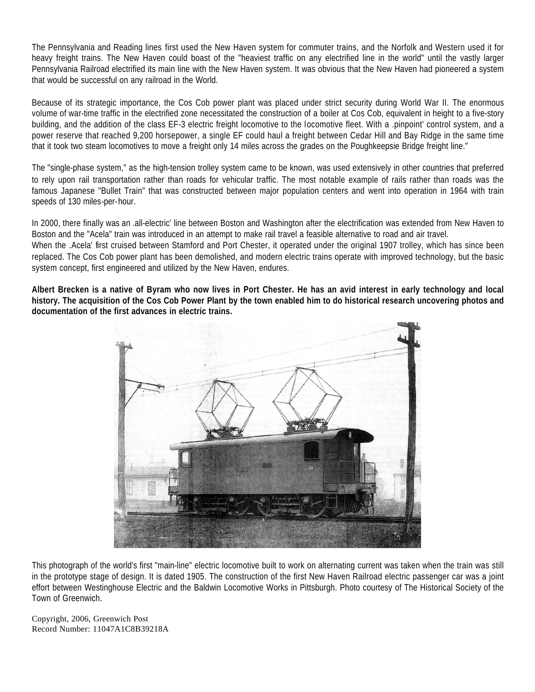The Pennsylvania and Reading lines first used the New Haven system for commuter trains, and the Norfolk and Western used it for heavy freight trains. The New Haven could boast of the "heaviest traffic on any electrified line in the world" until the vastly larger Pennsylvania Railroad electrified its main line with the New Haven system. It was obvious that the New Haven had pioneered a system that would be successful on any railroad in the World.

Because of its strategic importance, the Cos Cob power plant was placed under strict security during World War II. The enormous volume of war-time traffic in the electrified zone necessitated the construction of a boiler at Cos Cob, equivalent in height to a five-story building, and the addition of the class EF-3 electric freight locomotive to the locomotive fleet. With a .pinpoint' control system, and a power reserve that reached 9,200 horsepower, a single EF could haul a freight between Cedar Hill and Bay Ridge in the same time that it took two steam locomotives to move a freight only 14 miles across the grades on the Poughkeepsie Bridge freight line."

The "single-phase system," as the high-tension trolley system came to be known, was used extensively in other countries that preferred to rely upon rail transportation rather than roads for vehicular traffic. The most notable example of rails rather than roads was the famous Japanese "Bullet Train" that was constructed between major population centers and went into operation in 1964 with train speeds of 130 miles-per-hour.

In 2000, there finally was an .all-electric' line between Boston and Washington after the electrification was extended from New Haven to Boston and the "Acela" train was introduced in an attempt to make rail travel a feasible alternative to road and air travel. When the .Acela' first cruised between Stamford and Port Chester, it operated under the original 1907 trolley, which has since been replaced. The Cos Cob power plant has been demolished, and modern electric trains operate with improved technology, but the basic system concept, first engineered and utilized by the New Haven, endures.

**Albert Brecken is a native of Byram who now lives in Port Chester. He has an avid interest in early technology and local history. The acquisition of the Cos Cob Power Plant by the town enabled him to do historical research uncovering photos and documentation of the first advances in electric trains.** 



This photograph of the world's first "main-line" electric locomotive built to work on alternating current was taken when the train was still in the prototype stage of design. It is dated 1905. The construction of the first New Haven Railroad electric passenger car was a joint effort between Westinghouse Electric and the Baldwin Locomotive Works in Pittsburgh. Photo courtesy of The Historical Society of the Town of Greenwich.

Copyright, 2006, Greenwich Post Record Number: 11047A1C8B39218A